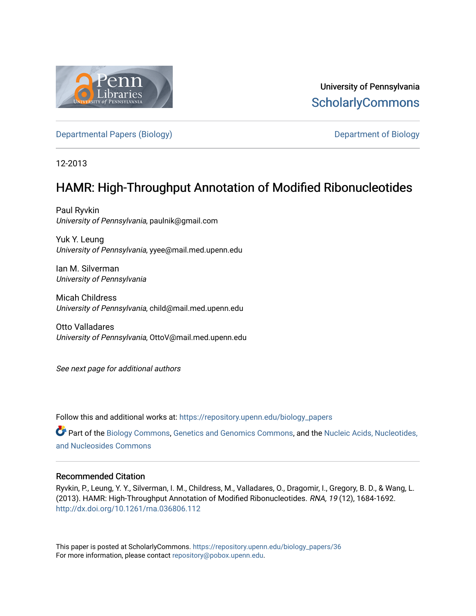

University of Pennsylvania **ScholarlyCommons** 

[Departmental Papers \(Biology\)](https://repository.upenn.edu/biology_papers) [Department of Biology](https://repository.upenn.edu/biology) 

12-2013

# HAMR: High-Throughput Annotation of Modified Ribonucleotides

Paul Ryvkin University of Pennsylvania, paulnik@gmail.com

Yuk Y. Leung University of Pennsylvania, yyee@mail.med.upenn.edu

Ian M. Silverman University of Pennsylvania

Micah Childress University of Pennsylvania, child@mail.med.upenn.edu

Otto Valladares University of Pennsylvania, OttoV@mail.med.upenn.edu

See next page for additional authors

Follow this and additional works at: [https://repository.upenn.edu/biology\\_papers](https://repository.upenn.edu/biology_papers?utm_source=repository.upenn.edu%2Fbiology_papers%2F36&utm_medium=PDF&utm_campaign=PDFCoverPages) 

Part of the [Biology Commons,](http://network.bepress.com/hgg/discipline/41?utm_source=repository.upenn.edu%2Fbiology_papers%2F36&utm_medium=PDF&utm_campaign=PDFCoverPages) [Genetics and Genomics Commons](http://network.bepress.com/hgg/discipline/27?utm_source=repository.upenn.edu%2Fbiology_papers%2F36&utm_medium=PDF&utm_campaign=PDFCoverPages), and the [Nucleic Acids, Nucleotides,](http://network.bepress.com/hgg/discipline/935?utm_source=repository.upenn.edu%2Fbiology_papers%2F36&utm_medium=PDF&utm_campaign=PDFCoverPages) [and Nucleosides Commons](http://network.bepress.com/hgg/discipline/935?utm_source=repository.upenn.edu%2Fbiology_papers%2F36&utm_medium=PDF&utm_campaign=PDFCoverPages) 

## Recommended Citation

Ryvkin, P., Leung, Y. Y., Silverman, I. M., Childress, M., Valladares, O., Dragomir, I., Gregory, B. D., & Wang, L. (2013). HAMR: High-Throughput Annotation of Modified Ribonucleotides. RNA, 19 (12), 1684-1692. <http://dx.doi.org/10.1261/rna.036806.112>

This paper is posted at ScholarlyCommons. [https://repository.upenn.edu/biology\\_papers/36](https://repository.upenn.edu/biology_papers/36) For more information, please contact [repository@pobox.upenn.edu.](mailto:repository@pobox.upenn.edu)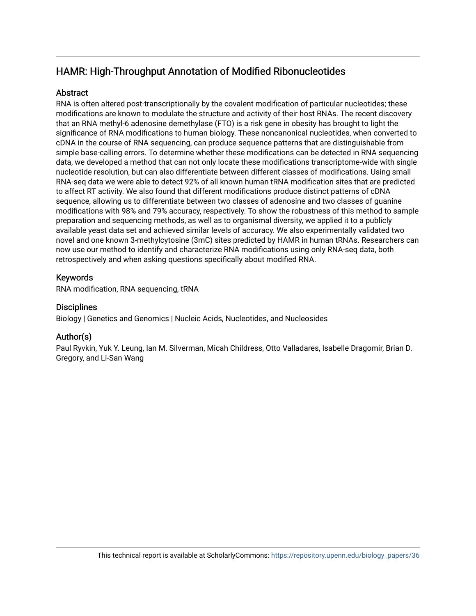## HAMR: High-Throughput Annotation of Modified Ribonucleotides

## **Abstract**

RNA is often altered post-transcriptionally by the covalent modification of particular nucleotides; these modifications are known to modulate the structure and activity of their host RNAs. The recent discovery that an RNA methyl-6 adenosine demethylase (FTO) is a risk gene in obesity has brought to light the significance of RNA modifications to human biology. These noncanonical nucleotides, when converted to cDNA in the course of RNA sequencing, can produce sequence patterns that are distinguishable from simple base-calling errors. To determine whether these modifications can be detected in RNA sequencing data, we developed a method that can not only locate these modifications transcriptome-wide with single nucleotide resolution, but can also differentiate between different classes of modifications. Using small RNA-seq data we were able to detect 92% of all known human tRNA modification sites that are predicted to affect RT activity. We also found that different modifications produce distinct patterns of cDNA sequence, allowing us to differentiate between two classes of adenosine and two classes of guanine modifications with 98% and 79% accuracy, respectively. To show the robustness of this method to sample preparation and sequencing methods, as well as to organismal diversity, we applied it to a publicly available yeast data set and achieved similar levels of accuracy. We also experimentally validated two novel and one known 3-methylcytosine (3mC) sites predicted by HAMR in human tRNAs. Researchers can now use our method to identify and characterize RNA modifications using only RNA-seq data, both retrospectively and when asking questions specifically about modified RNA.

## Keywords

RNA modification, RNA sequencing, tRNA

## **Disciplines**

Biology | Genetics and Genomics | Nucleic Acids, Nucleotides, and Nucleosides

## Author(s)

Paul Ryvkin, Yuk Y. Leung, Ian M. Silverman, Micah Childress, Otto Valladares, Isabelle Dragomir, Brian D. Gregory, and Li-San Wang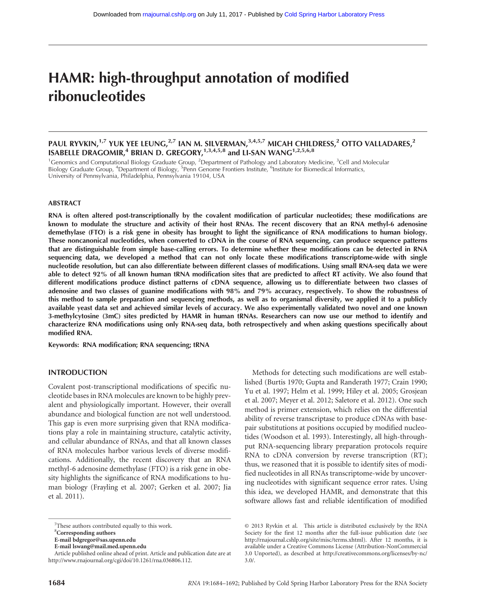# HAMR: high-throughput annotation of modified ribonucleotides

## PAUL RYVKIN,<sup>1,7</sup> YUK YEE LEUNG,<sup>2,7</sup> IAN M. SILVERMAN,<sup>3,4,5,7</sup> MICAH CHILDRESS,<sup>2</sup> OTTO VALLADARES,<sup>2</sup> ISABELLE DRAGOMIR,<sup>4</sup> BRIAN D. GREGORY,<sup>1,3,4,5,8</sup> and LI-SAN WANG<sup>1,2,5,6,8</sup>

<sup>1</sup>Genomics and Computational Biology Graduate Group, <sup>2</sup>Department of Pathology and Laboratory Medicine, <sup>3</sup>Cell and Molecular Biology Graduate Group, <sup>4</sup>Department of Biology, <sup>5</sup>Penn Genome Frontiers Institute, <sup>6</sup>Institute for Biomedical Informatics, University of Pennsylvania, Philadelphia, Pennsylvania 19104, USA

#### ABSTRACT

RNA is often altered post-transcriptionally by the covalent modification of particular nucleotides; these modifications are known to modulate the structure and activity of their host RNAs. The recent discovery that an RNA methyl-6 adenosine demethylase (FTO) is a risk gene in obesity has brought to light the significance of RNA modifications to human biology. These noncanonical nucleotides, when converted to cDNA in the course of RNA sequencing, can produce sequence patterns that are distinguishable from simple base-calling errors. To determine whether these modifications can be detected in RNA sequencing data, we developed a method that can not only locate these modifications transcriptome-wide with single nucleotide resolution, but can also differentiate between different classes of modifications. Using small RNA-seq data we were able to detect 92% of all known human tRNA modification sites that are predicted to affect RT activity. We also found that different modifications produce distinct patterns of cDNA sequence, allowing us to differentiate between two classes of adenosine and two classes of guanine modifications with 98% and 79% accuracy, respectively. To show the robustness of this method to sample preparation and sequencing methods, as well as to organismal diversity, we applied it to a publicly available yeast data set and achieved similar levels of accuracy. We also experimentally validated two novel and one known 3-methylcytosine (3mC) sites predicted by HAMR in human tRNAs. Researchers can now use our method to identify and characterize RNA modifications using only RNA-seq data, both retrospectively and when asking questions specifically about modified RNA.

Keywords: RNA modification; RNA sequencing; tRNA

#### INTRODUCTION

Covalent post-transcriptional modifications of specific nucleotide bases in RNA molecules are known to be highly prevalent and physiologically important. However, their overall abundance and biological function are not well understood. This gap is even more surprising given that RNA modifications play a role in maintaining structure, catalytic activity, and cellular abundance of RNAs, and that all known classes of RNA molecules harbor various levels of diverse modifications. Additionally, the recent discovery that an RNA methyl-6 adenosine demethylase (FTO) is a risk gene in obesity highlights the significance of RNA modifications to human biology (Frayling et al. 2007; Gerken et al. 2007; Jia et al. 2011).

Methods for detecting such modifications are well established (Burtis 1970; Gupta and Randerath 1977; Crain 1990; Yu et al. 1997; Helm et al. 1999; Hiley et al. 2005; Grosjean et al. 2007; Meyer et al. 2012; Saletore et al. 2012). One such method is primer extension, which relies on the differential ability of reverse transcriptase to produce cDNAs with basepair substitutions at positions occupied by modified nucleotides (Woodson et al. 1993). Interestingly, all high-throughput RNA-sequencing library preparation protocols require RNA to cDNA conversion by reverse transcription (RT); thus, we reasoned that it is possible to identify sites of modified nucleotides in all RNAs transcriptome-wide by uncovering nucleotides with significant sequence error rates. Using this idea, we developed HAMR, and demonstrate that this software allows fast and reliable identification of modified

<sup>&</sup>lt;sup>7</sup>These authors contributed equally to this work.

<sup>8</sup> Corresponding authors

E-mail bdgregor@sas.upenn.edu

E-mail lswang@mail.med.upenn.edu

Article published online ahead of print. Article and publication date are at http://www.rnajournal.org/cgi/doi/10.1261/rna.036806.112.

<sup>© 2013</sup> Ryvkin et al. This article is distributed exclusively by the RNA Society for the first 12 months after the full-issue publication date (see http://rnajournal.cshlp.org/site/misc/terms.xhtml). After 12 months, it is available under a Creative Commons License (Attribution-NonCommercial 3.0 Unported), as described at http://creativecommons.org/licenses/by-nc/ 3.0/.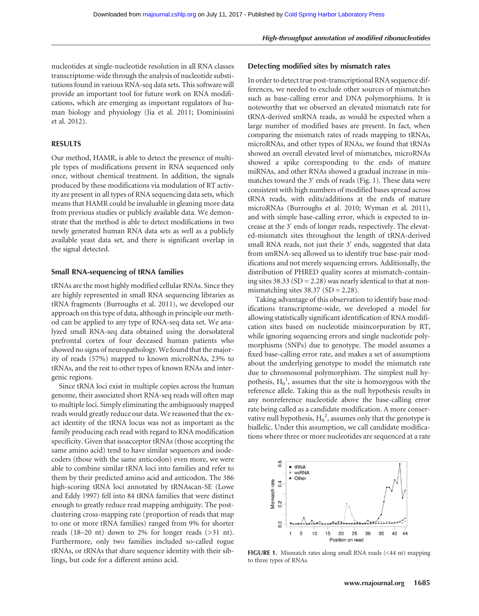nucleotides at single-nucleotide resolution in all RNA classes transcriptome-wide through the analysis of nucleotide substitutions found in various RNA-seq data sets. This software will provide an important tool for future work on RNA modifications, which are emerging as important regulators of human biology and physiology (Jia et al. 2011; Dominissini et al. 2012).

#### RESULTS

Our method, HAMR, is able to detect the presence of multiple types of modifications present in RNA sequenced only once, without chemical treatment. In addition, the signals produced by these modifications via modulation of RT activity are present in all types of RNA sequencing data sets, which means that HAMR could be invaluable in gleaning more data from previous studies or publicly available data. We demonstrate that the method is able to detect modifications in two newly generated human RNA data sets as well as a publicly available yeast data set, and there is significant overlap in the signal detected.

#### Small RNA-sequencing of tRNA families

tRNAs are the most highly modified cellular RNAs. Since they are highly represented in small RNA sequencing libraries as tRNA fragments (Burroughs et al. 2011), we developed our approach on this type of data, although in principle our method can be applied to any type of RNA-seq data set. We analyzed small RNA-seq data obtained using the dorsolateral prefrontal cortex of four deceased human patients who showed no signs of neuropathology. We found that the majority of reads (57%) mapped to known microRNAs, 23% to tRNAs, and the rest to other types of known RNAs and intergenic regions.

Since tRNA loci exist in multiple copies across the human genome, their associated short RNA-seq reads will often map to multiple loci. Simply eliminating the ambiguously mapped reads would greatly reduce our data. We reasoned that the exact identity of the tRNA locus was not as important as the family producing each read with regard to RNA modification specificity. Given that isoacceptor tRNAs (those accepting the same amino acid) tend to have similar sequences and isodecoders (those with the same anticodon) even more, we were able to combine similar tRNA loci into families and refer to them by their predicted amino acid and anticodon. The 386 high-scoring tRNA loci annotated by tRNAscan-SE (Lowe and Eddy 1997) fell into 84 tRNA families that were distinct enough to greatly reduce read mapping ambiguity. The postclustering cross-mapping rate (proportion of reads that map to one or more tRNA families) ranged from 9% for shorter reads (18–20 nt) down to 2% for longer reads (>31 nt). Furthermore, only two families included so-called rogue tRNAs, or tRNAs that share sequence identity with their siblings, but code for a different amino acid.

#### Detecting modified sites by mismatch rates

In order to detect true post-transcriptional RNA sequence differences, we needed to exclude other sources of mismatches such as base-calling error and DNA polymorphisms. It is noteworthy that we observed an elevated mismatch rate for tRNA-derived smRNA reads, as would be expected when a large number of modified bases are present. In fact, when comparing the mismatch rates of reads mapping to tRNAs, microRNAs, and other types of RNAs, we found that tRNAs showed an overall elevated level of mismatches, microRNAs showed a spike corresponding to the ends of mature miRNAs, and other RNAs showed a gradual increase in mismatches toward the 3′ ends of reads (Fig. 1). These data were consistent with high numbers of modified bases spread across tRNA reads, with edits/additions at the ends of mature microRNAs (Burroughs et al. 2010; Wyman et al. 2011), and with simple base-calling error, which is expected to increase at the 3′ ends of longer reads, respectively. The elevated-mismatch sites throughout the length of tRNA-derived small RNA reads, not just their 3' ends, suggested that data from smRNA-seq allowed us to identify true base-pair modifications and not merely sequencing errors. Additionally, the distribution of PHRED quality scores at mismatch-containing sites  $38.33$  (SD = 2.28) was nearly identical to that at nonmismatching sites  $38.37$  (SD = 2.28).

Taking advantage of this observation to identify base modifications transcriptome-wide, we developed a model for allowing statistically significant identification of RNA modification sites based on nucleotide misincorporation by RT, while ignoring sequencing errors and single nucleotide polymorphisms (SNPs) due to genotype. The model assumes a fixed base-calling error rate, and makes a set of assumptions about the underlying genotype to model the mismatch rate due to chromosomal polymorphism. The simplest null hypothesis,  $H_0^1$ , assumes that the site is homozygous with the reference allele. Taking this as the null hypothesis results in any nonreference nucleotide above the base-calling error rate being called as a candidate modification. A more conservative null hypothesis,  $H_0^2$ , assumes only that the genotype is biallelic. Under this assumption, we call candidate modifications where three or more nucleotides are sequenced at a rate



FIGURE 1. Mismatch rates along small RNA reads (<44 nt) mapping to three types of RNAs.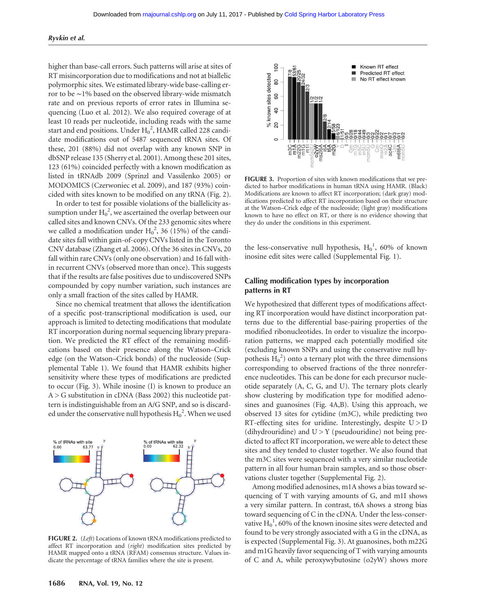#### Ryvkin et al.

higher than base-call errors. Such patterns will arise at sites of RT misincorporation due to modifications and not at biallelic polymorphic sites. We estimated library-wide base-calling error to be ∼1% based on the observed library-wide mismatch rate and on previous reports of error rates in Illumina sequencing (Luo et al. 2012). We also required coverage of at least 10 reads per nucleotide, including reads with the same start and end positions. Under  $H_0^2$ , HAMR called 228 candidate modifications out of 5487 sequenced tRNA sites. Of these, 201 (88%) did not overlap with any known SNP in dbSNP release 135 (Sherry et al. 2001). Among these 201 sites, 123 (61%) coincided perfectly with a known modification as listed in tRNAdb 2009 (Sprinzl and Vassilenko 2005) or MODOMICS (Czerwoniec et al. 2009), and 187 (93%) coincided with sites known to be modified on any tRNA (Fig. 2).

In order to test for possible violations of the biallelicity assumption under  $H_0^2$ , we ascertained the overlap between our called sites and known CNVs. Of the 233 genomic sites where we called a modification under  $H_0^2$ , 36 (15%) of the candidate sites fall within gain-of-copy CNVs listed in the Toronto CNV database (Zhang et al. 2006). Of the 36 sites in CNVs, 20 fall within rare CNVs (only one observation) and 16 fall within recurrent CNVs (observed more than once). This suggests that if the results are false positives due to undiscovered SNPs compounded by copy number variation, such instances are only a small fraction of the sites called by HAMR.

Since no chemical treatment that allows the identification of a specific post-transcriptional modification is used, our approach is limited to detecting modifications that modulate RT incorporation during normal sequencing library preparation. We predicted the RT effect of the remaining modifications based on their presence along the Watson–Crick edge (on the Watson–Crick bonds) of the nucleoside (Supplemental Table 1). We found that HAMR exhibits higher sensitivity where these types of modifications are predicted to occur (Fig. 3). While inosine (I) is known to produce an  $A > G$  substitution in cDNA (Bass 2002) this nucleotide pattern is indistinguishable from an A/G SNP, and so is discarded under the conservative null hypothesis  $H_0^2$ . When we used



FIGURE 2. (Left) Locations of known tRNA modifications predicted to affect RT incorporation and (right) modification sites predicted by HAMR mapped onto a tRNA (RFAM) consensus structure. Values indicate the percentage of tRNA families where the site is present.



FIGURE 3. Proportion of sites with known modifications that we predicted to harbor modifications in human tRNA using HAMR. (Black) Modifications are known to affect RT incorporation; (dark gray) modifications predicted to affect RT incorporation based on their structure at the Watson–Crick edge of the nucleoside; (light gray) modifications known to have no effect on RT, or there is no evidence showing that they do under the conditions in this experiment.

the less-conservative null hypothesis,  $H_0^1$ , 60% of known inosine edit sites were called (Supplemental Fig. 1).

#### Calling modification types by incorporation patterns in RT

We hypothesized that different types of modifications affecting RT incorporation would have distinct incorporation patterns due to the differential base-pairing properties of the modified ribonucleotides. In order to visualize the incorporation patterns, we mapped each potentially modified site (excluding known SNPs and using the conservative null hypothesis  $H_0^2$ ) onto a ternary plot with the three dimensions corresponding to observed fractions of the three nonreference nucleotides. This can be done for each precursor nucleotide separately (A, C, G, and U). The ternary plots clearly show clustering by modification type for modified adenosines and guanosines (Fig. 4A,B). Using this approach, we observed 13 sites for cytidine (m3C), while predicting two RT-effecting sites for uridine. Interestingly, despite  $U > D$ (dihydrouridine) and  $U > Y$  (pseudouridine) not being predicted to affect RT incorporation, we were able to detect these sites and they tended to cluster together. We also found that the m3C sites were sequenced with a very similar nucleotide pattern in all four human brain samples, and so those observations cluster together (Supplemental Fig. 2).

Among modified adenosines, m1A shows a bias toward sequencing of T with varying amounts of G, and m1I shows a very similar pattern. In contrast, t6A shows a strong bias toward sequencing of C in the cDNA. Under the less-conservative  $H_0^1$ , 60% of the known inosine sites were detected and found to be very strongly associated with a G in the cDNA, as is expected (Supplemental Fig. 3). At guanosines, both m22G and m1G heavily favor sequencing of T with varying amounts of C and A, while peroxywybutosine (o2yW) shows more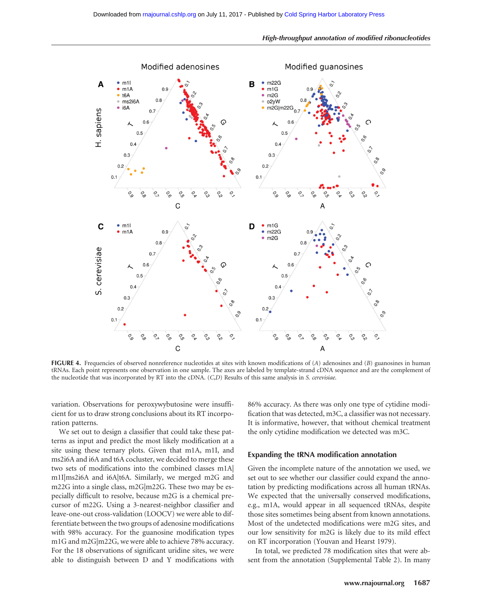High-throughput annotation of modified ribonucleotides



FIGURE 4. Frequencies of observed nonreference nucleotides at sites with known modifications of  $(A)$  adenosines and  $(B)$  guanosines in human tRNAs. Each point represents one observation in one sample. The axes are labeled by template-strand cDNA sequence and are the complement of the nucleotide that was incorporated by RT into the cDNA.  $(C,D)$  Results of this same analysis in S. cerevisiae.

variation. Observations for peroxywybutosine were insufficient for us to draw strong conclusions about its RT incorporation patterns.

We set out to design a classifier that could take these patterns as input and predict the most likely modification at a site using these ternary plots. Given that m1A, m1I, and ms2i6A and i6A and t6A cocluster, we decided to merge these two sets of modifications into the combined classes m1A| m1I|ms2i6A and i6A|t6A. Similarly, we merged m2G and m22G into a single class, m2G|m22G. These two may be especially difficult to resolve, because m2G is a chemical precursor of m22G. Using a 3-nearest-neighbor classifier and leave-one-out cross-validation (LOOCV) we were able to differentiate between the two groups of adenosine modifications with 98% accuracy. For the guanosine modification types m1G and m2G|m22G, we were able to achieve 78% accuracy. For the 18 observations of significant uridine sites, we were able to distinguish between D and Y modifications with 86% accuracy. As there was only one type of cytidine modification that was detected, m3C, a classifier was not necessary. It is informative, however, that without chemical treatment the only cytidine modification we detected was m3C.

#### Expanding the tRNA modification annotation

Given the incomplete nature of the annotation we used, we set out to see whether our classifier could expand the annotation by predicting modifications across all human tRNAs. We expected that the universally conserved modifications, e.g., m1A, would appear in all sequenced tRNAs, despite those sites sometimes being absent from known annotations. Most of the undetected modifications were m2G sites, and our low sensitivity for m2G is likely due to its mild effect on RT incorporation (Youvan and Hearst 1979).

In total, we predicted 78 modification sites that were absent from the annotation (Supplemental Table 2). In many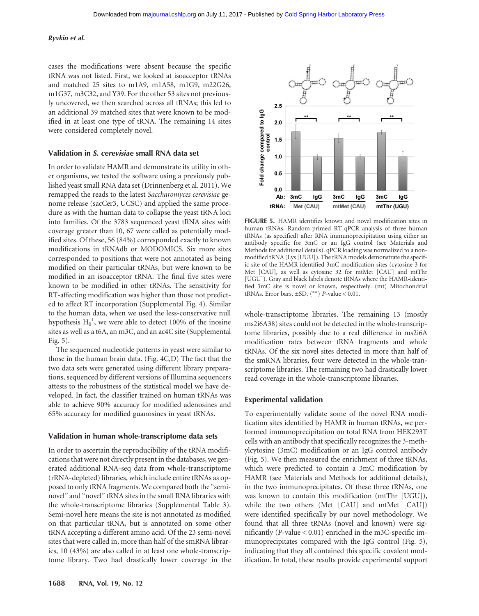#### Ryvkin et al.

cases the modifications were absent because the specific tRNA was not listed. First, we looked at isoacceptor tRNAs and matched 25 sites to m1A9, m1A58, m1G9, m22G26, m1G37, m3C32, and Y39. For the other 53 sites not previously uncovered, we then searched across all tRNAs; this led to an additional 39 matched sites that were known to be modified in at least one type of tRNA. The remaining 14 sites were considered completely novel.

#### Validation in S. cerevisiae small RNA data set

In order to validate HAMR and demonstrate its utility in other organisms, we tested the software using a previously published yeast small RNA data set (Drinnenberg et al. 2011). We remapped the reads to the latest Saccharomyces cerevisiae genome release (sacCer3, UCSC) and applied the same procedure as with the human data to collapse the yeast tRNA loci into families. Of the 3783 sequenced yeast tRNA sites with coverage greater than 10, 67 were called as potentially modified sites. Of these, 56 (84%) corresponded exactly to known modifications in tRNAdb or MODOMICS. Six more sites corresponded to positions that were not annotated as being modified on their particular tRNAs, but were known to be modified in an isoacceptor tRNA. The final five sites were known to be modified in other tRNAs. The sensitivity for RT-affecting modification was higher than those not predicted to affect RT incorporation (Supplemental Fig. 4). Similar to the human data, when we used the less-conservative null hypothesis  $H_0^1$ , we were able to detect 100% of the inosine sites as well as a t6A, an m3C, and an ac4C site (Supplemental Fig. 5).

The sequenced nucleotide patterns in yeast were similar to those in the human brain data. (Fig. 4C,D) The fact that the two data sets were generated using different library preparations, sequenced by different versions of Illumina sequencers attests to the robustness of the statistical model we have developed. In fact, the classifier trained on human tRNAs was able to achieve 90% accuracy for modified adenosines and 65% accuracy for modified guanosines in yeast tRNAs.

#### Validation in human whole-transcriptome data sets

In order to ascertain the reproducibility of the tRNA modifications that were not directly present in the databases, we generated additional RNA-seq data from whole-transcriptome (rRNA-depleted) libraries, which include entire tRNAs as opposed to only tRNA fragments. We compared both the "seminovel" and "novel" tRNA sites in the small RNA libraries with the whole-transcriptome libraries (Supplemental Table 3). Semi-novel here means the site is not annotated as modified on that particular tRNA, but is annotated on some other tRNA accepting a different amino acid. Of the 23 semi-novel sites that were called in, more than half of the smRNA libraries, 10 (43%) are also called in at least one whole-transcriptome library. Two had drastically lower coverage in the



FIGURE 5. HAMR identifies known and novel modification sites in human tRNAs. Random-primed RT-qPCR analysis of three human tRNAs (as specified) after RNA immunoprecipitation using either an antibody specific for 3mC or an IgG control (see Materials and Methods for additional details). qPCR loading was normalized to a nonmodified tRNA (Lys [UUU]). The tRNA models demonstrate the specific site of the HAMR identified 3mC modification sites (cytosine 3 for Met [CAU], as well as cytosine 32 for mtMet [CAU] and mtThr [UGU]). Gray and black labels denote tRNAs where the HAMR-identified 3mC site is novel or known, respectively. (mt) Mitochondrial tRNAs. Error bars,  $\pm$ SD. (\*\*) P-value < 0.01.

whole-transcriptome libraries. The remaining 13 (mostly ms2i6A38) sites could not be detected in the whole-transcriptome libraries, possibly due to a real difference in ms2i6A modification rates between tRNA fragments and whole tRNAs. Of the six novel sites detected in more than half of the smRNA libraries, four were detected in the whole-transcriptome libraries. The remaining two had drastically lower read coverage in the whole-transcriptome libraries.

#### Experimental validation

To experimentally validate some of the novel RNA modification sites identified by HAMR in human tRNAs, we performed immunoprecipitation on total RNA from HEK293T cells with an antibody that specifically recognizes the 3-methylcytosine (3mC) modification or an IgG control antibody (Fig. 5). We then measured the enrichment of three tRNAs, which were predicted to contain a 3mC modification by HAMR (see Materials and Methods for additional details), in the two immunoprecipitates. Of these three tRNAs, one was known to contain this modification (mtThr [UGU]), while the two others (Met [CAU] and mtMet [CAU]) were identified specifically by our novel methodology. We found that all three tRNAs (novel and known) were significantly (P-value < 0.01) enriched in the m3C-specific immunoprecipitates compared with the IgG control (Fig. 5), indicating that they all contained this specific covalent modification. In total, these results provide experimental support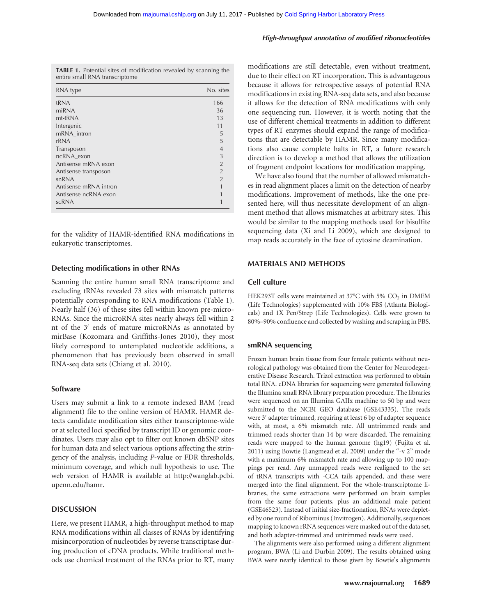TABLE 1. Potential sites of modification revealed by scanning the entire small RNA transcriptome

| RNA type              | No. sites      |
|-----------------------|----------------|
| <b>tRNA</b>           | 166            |
| miRNA                 | 36             |
| mt-tRNA               | 13             |
| Intergenic            | 11             |
| mRNA intron           | 5              |
| rRNA                  | 5              |
| Transposon            | $\overline{4}$ |
| ncRNA exon            | 3              |
| Antisense mRNA exon   | $\overline{2}$ |
| Antisense transposon  | $\overline{2}$ |
| snRNA                 | $\overline{2}$ |
| Antisense mRNA intron |                |
| Antisense ncRNA exon  |                |
| <b>scRNA</b>          |                |

for the validity of HAMR-identified RNA modifications in eukaryotic transcriptomes.

#### Detecting modifications in other RNAs

Scanning the entire human small RNA transcriptome and excluding tRNAs revealed 73 sites with mismatch patterns potentially corresponding to RNA modifications (Table 1). Nearly half (36) of these sites fell within known pre-micro-RNAs. Since the microRNA sites nearly always fell within 2 nt of the 3′ ends of mature microRNAs as annotated by mirBase (Kozomara and Griffiths-Jones 2010), they most likely correspond to untemplated nucleotide additions, a phenomenon that has previously been observed in small RNA-seq data sets (Chiang et al. 2010).

#### Software

Users may submit a link to a remote indexed BAM (read alignment) file to the online version of HAMR. HAMR detects candidate modification sites either transcriptome-wide or at selected loci specified by transcript ID or genomic coordinates. Users may also opt to filter out known dbSNP sites for human data and select various options affecting the stringency of the analysis, including P-value or FDR thresholds, minimum coverage, and which null hypothesis to use. The web version of HAMR is available at http://wanglab.pcbi. upenn.edu/hamr.

#### **DISCUSSION**

Here, we present HAMR, a high-throughput method to map RNA modifications within all classes of RNAs by identifying misincorporation of nucleotides by reverse transcriptase during production of cDNA products. While traditional methods use chemical treatment of the RNAs prior to RT, many

modifications are still detectable, even without treatment, due to their effect on RT incorporation. This is advantageous because it allows for retrospective assays of potential RNA modifications in existing RNA-seq data sets, and also because it allows for the detection of RNA modifications with only one sequencing run. However, it is worth noting that the use of different chemical treatments in addition to different types of RT enzymes should expand the range of modifications that are detectable by HAMR. Since many modifications also cause complete halts in RT, a future research direction is to develop a method that allows the utilization of fragment endpoint locations for modification mapping.

We have also found that the number of allowed mismatches in read alignment places a limit on the detection of nearby modifications. Improvement of methods, like the one presented here, will thus necessitate development of an alignment method that allows mismatches at arbitrary sites. This would be similar to the mapping methods used for bisulfite sequencing data (Xi and Li 2009), which are designed to map reads accurately in the face of cytosine deamination.

#### MATERIALS AND METHODS

#### Cell culture

HEK293T cells were maintained at 37°C with 5%  $CO<sub>2</sub>$  in DMEM (Life Technologies) supplemented with 10% FBS (Atlanta Biologicals) and 1X Pen/Strep (Life Technologies). Cells were grown to 80%–90% confluence and collected by washing and scraping in PBS.

#### smRNA sequencing

Frozen human brain tissue from four female patients without neurological pathology was obtained from the Center for Neurodegenerative Disease Research. Trizol extraction was performed to obtain total RNA. cDNA libraries for sequencing were generated following the Illumina small RNA library preparation procedure. The libraries were sequenced on an Illumina GAIIx machine to 50 bp and were submitted to the NCBI GEO database (GSE43335). The reads were 3′ adapter trimmed, requiring at least 6 bp of adapter sequence with, at most, a 6% mismatch rate. All untrimmed reads and trimmed reads shorter than 14 bp were discarded. The remaining reads were mapped to the human genome (hg19) (Fujita et al. 2011) using Bowtie (Langmead et al. 2009) under the "-v 2" mode with a maximum 6% mismatch rate and allowing up to 100 mappings per read. Any unmapped reads were realigned to the set of tRNA transcripts with -CCA tails appended, and these were merged into the final alignment. For the whole-transcriptome libraries, the same extractions were performed on brain samples from the same four patients, plus an additional male patient (GSE46523). Instead of initial size-fractionation, RNAs were depleted by one round of Ribominus (Invitrogen). Additionally, sequences mapping to known rRNA sequences were masked out of the data set, and both adapter-trimmed and untrimmed reads were used.

The alignments were also performed using a different alignment program, BWA (Li and Durbin 2009). The results obtained using BWA were nearly identical to those given by Bowtie's alignments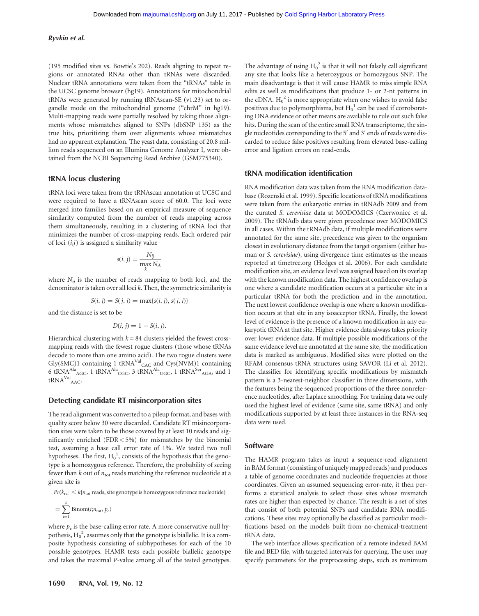(195 modified sites vs. Bowtie's 202). Reads aligning to repeat regions or annotated RNAs other than tRNAs were discarded. Nuclear tRNA annotations were taken from the "tRNAs" table in the UCSC genome browser (hg19). Annotations for mitochondrial tRNAs were generated by running tRNAscan-SE (v1.23) set to organelle mode on the mitochondrial genome ("chrM" in hg19). Multi-mapping reads were partially resolved by taking those alignments whose mismatches aligned to SNPs (dbSNP 135) as the true hits, prioritizing them over alignments whose mismatches had no apparent explanation. The yeast data, consisting of 20.8 million reads sequenced on an Illumina Genome Analyzer I, were obtained from the NCBI Sequencing Read Archive (GSM775340).

#### tRNA locus clustering

tRNA loci were taken from the tRNAscan annotation at UCSC and were required to have a tRNAscan score of 60.0. The loci were merged into families based on an empirical measure of sequence similarity computed from the number of reads mapping across them simultaneously, resulting in a clustering of tRNA loci that minimizes the number of cross-mapping reads. Each ordered pair of loci  $(i,j)$  is assigned a similarity value

$$
s(i, j) = \frac{N_{ij}}{\max_{k} N_{ik}}
$$

where  $N_{ij}$  is the number of reads mapping to both loci, and the denominator is taken over all loci k. Then, the symmetric similarity is

$$
S(i, j) = S(j, i) = \max\{s(i, j), s(j, i)\}\
$$

and the distance is set to be

$$
D(i, j) = 1 - S(i, j).
$$

Hierarchical clustering with  $k = 84$  clusters yielded the fewest crossmapping reads with the fewest rogue clusters (those whose tRNAs decode to more than one amino acid). The two rogue clusters were Gly(SMC)1 containing 1 tRNA<sup>Val</sup><sub>CAC</sub> and Cys(NVM)1 containing 6 tRNA $A_{AGC}^{Ala}$ , 1 tRNA $A_{CGC}^{Ala}$ , 3 tRNA $_{UGC}^{Ala}$ , 1 tRNA $_{AGA}^{Ser}$ , and 1  $\text{tRNA}^{\text{Val}}_{\text{AAC}}$ 

#### Detecting candidate RT misincorporation sites

The read alignment was converted to a pileup format, and bases with quality score below 30 were discarded. Candidate RT misincorporation sites were taken to be those covered by at least 10 reads and significantly enriched (FDR < 5%) for mismatches by the binomial test, assuming a base call error rate of 1%. We tested two null hypotheses. The first,  $H_0^1$ , consists of the hypothesis that the genotype is a homozygous reference. Therefore, the probability of seeing fewer than  $k$  out of  $n_{\text{tot}}$  reads matching the reference nucleotide at a given site is

 $Pr(k_{\text{ref}} < k | n_{\text{tot}} \text{ reads, site genotype is homozygous reference nucleotide})$ 

$$
= \sum_{i=1}^{k} \text{Binom}(i; n_{\text{tot}}, p_e)
$$

where  $p_e$  is the base-calling error rate. A more conservative null hypothesis,  $H_0^2$ , assumes only that the genotype is biallelic. It is a composite hypothesis consisting of subhypotheses for each of the 10 possible genotypes. HAMR tests each possible biallelic genotype and takes the maximal P-value among all of the tested genotypes.

The advantage of using  $H_0^2$  is that it will not falsely call significant any site that looks like a heterozygous or homozygous SNP. The main disadvantage is that it will cause HAMR to miss simple RNA edits as well as modifications that produce 1- or 2-nt patterns in the cDNA.  $H_0^2$  is more appropriate when one wishes to avoid false positives due to polymorphisms, but  $H_0^1$  can be used if corroborating DNA evidence or other means are available to rule out such false hits. During the scan of the entire small RNA transcriptome, the single nucleotides corresponding to the 5′ and 3′ ends of reads were discarded to reduce false positives resulting from elevated base-calling error and ligation errors on read-ends.

#### tRNA modification identification

RNA modification data was taken from the RNA modification database (Rozenski et al. 1999). Specific locations of tRNA modifications were taken from the eukaryotic entries in tRNAdb 2009 and from the curated S. cerevisiae data at MODOMICS (Czerwoniec et al. 2009). The tRNAdb data were given precedence over MODOMICS in all cases. Within the tRNAdb data, if multiple modifications were annotated for the same site, precedence was given to the organism closest in evolutionary distance from the target organism (either human or S. cerevisiae), using divergence time estimates as the means reported at timetree.org (Hedges et al. 2006). For each candidate modification site, an evidence level was assigned based on its overlap with the known modification data. The highest confidence overlap is one where a candidate modification occurs at a particular site in a particular tRNA for both the prediction and in the annotation. The next lowest confidence overlap is one where a known modification occurs at that site in any isoacceptor tRNA. Finally, the lowest level of evidence is the presence of a known modification in any eukaryotic tRNA at that site. Higher evidence data always takes priority over lower evidence data. If multiple possible modifications of the same evidence level are annotated at the same site, the modification data is marked as ambiguous. Modified sites were plotted on the RFAM consensus tRNA structures using SAVOR (Li et al. 2012). The classifier for identifying specific modifications by mismatch pattern is a 3-nearest-neighbor classifier in three dimensions, with the features being the sequenced proportions of the three nonreference nucleotides, after Laplace smoothing. For training data we only used the highest level of evidence (same site, same tRNA) and only modifications supported by at least three instances in the RNA-seq data were used.

#### **Software**

The HAMR program takes as input a sequence-read alignment in BAM format (consisting of uniquely mapped reads) and produces a table of genome coordinates and nucleotide frequencies at those coordinates. Given an assumed sequencing error-rate, it then performs a statistical analysis to select those sites whose mismatch rates are higher than expected by chance. The result is a set of sites that consist of both potential SNPs and candidate RNA modifications. These sites may optionally be classified as particular modifications based on the models built from no-chemical-treatment tRNA data.

The web interface allows specification of a remote indexed BAM file and BED file, with targeted intervals for querying. The user may specify parameters for the preprocessing steps, such as minimum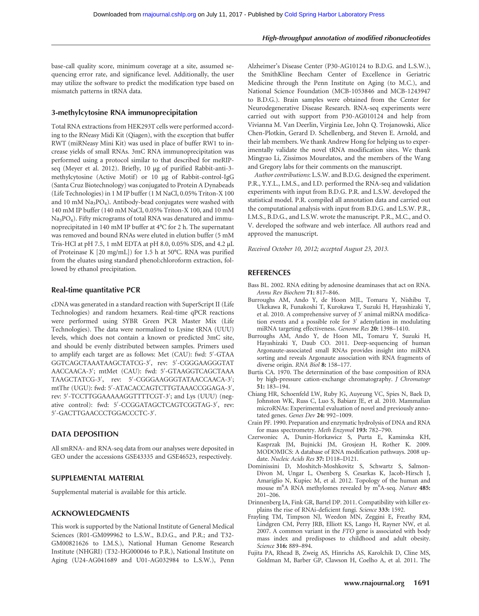base-call quality score, minimum coverage at a site, assumed sequencing error rate, and significance level. Additionally, the user may utilize the software to predict the modification type based on mismatch patterns in tRNA data.

#### 3-methylcytosine RNA immunoprecipitation

Total RNA extractions from HEK293T cells were performed according to the RNeasy Midi Kit (Qiagen), with the exception that buffer RWT (miRNeasy Mini Kit) was used in place of buffer RW1 to increase yields of small RNAs. 3mC RNA immunoprecipitation was performed using a protocol similar to that described for meRIPseq (Meyer et al. 2012). Briefly, 10 μg of purified Rabbit-anti-3 methylcytosine (Active Motif) or 10 μg of Rabbit-control-IgG (Santa Cruz Biotechnology) was conjugated to Protein A Dynabeads (Life Technologies) in 1 M IP buffer (1 M NaCl, 0.05% Triton-X 100 and 10 mM  $Na<sub>3</sub>PO<sub>4</sub>$ ). Antibody-bead conjugates were washed with 140 mM IP buffer (140 mM NaCl, 0.05% Triton-X 100, and 10 mM  $Na<sub>3</sub>PO<sub>4</sub>$ ). Fifty micrograms of total RNA was denatured and immunoprecipitated in 140 mM IP buffer at 4°C for 2 h. The supernatant was removed and bound RNAs were eluted in elution buffer (5 mM Tris-HCl at pH 7.5, 1 mM EDTA at pH 8.0, 0.05% SDS, and 4.2 μL of Proteinase K [20 mg/mL]) for 1.5 h at 50°C. RNA was purified from the eluates using standard phenol:chloroform extraction, followed by ethanol precipitation.

#### Real-time quantitative PCR

cDNA was generated in a standard reaction with SuperScript II (Life Technologies) and random hexamers. Real-time qPCR reactions were performed using SYBR Green PCR Master Mix (Life Technologies). The data were normalized to Lysine tRNA (UUU) levels, which does not contain a known or predicted 3mC site, and should be evenly distributed between samples. Primers used to amplify each target are as follows: Met (CAU): fwd: 5′ -GTAA GGTCAGCTAAATAAGCTATCG-3′ , rev: 5′ -CGGGAAGGGTAT AACCAACA-3′ ; mtMet (CAU): fwd: 5′ -GTAAGGTCAGCTAAA TAAGCTATCG-3′ , rev: 5′ -CGGGAAGGGTATAACCAACA-3′ ; mtThr (UGU): fwd: 5′ -ATACACCAGTCTTGTAAACCGGAGA-3′ , rev: 5′ -TCCTTGGAAAAAGGTTTTCGT-3′ ; and Lys (UUU) (negative control): fwd: 5′ -CCGGATAGCTCAGTCGGTAG-3′ , rev: 5′ -GACTTGAACCCTGGACCCTC-3′ .

#### DATA DEPOSITION

All smRNA- and RNA-seq data from our analyses were deposited in GEO under the accessions GSE43335 and GSE46523, respectively.

#### SUPPLEMENTAL MATERIAL

Supplemental material is available for this article.

#### ACKNOWLEDGMENTS

This work is supported by the National Institute of General Medical Sciences (R01-GM099962 to L.S.W., B.D.G., and P.R.; and T32- GM00821626 to I.M.S.), National Human Genome Research Institute (NHGRI) (T32-HG000046 to P.R.), National Institute on Aging (U24-AG041689 and U01-AG032984 to L.S.W.), Penn

Alzheimer's Disease Center (P30-AG10124 to B.D.G. and L.S.W.), the SmithKline Beecham Center of Excellence in Geriatric Medicine through the Penn Institute on Aging (to M.C.), and National Science Foundation (MCB-1053846 and MCB-1243947 to B.D.G.). Brain samples were obtained from the Center for Neurodegenerative Disease Research. RNA-seq experiments were carried out with support from P30-AG010124 and help from Vivianna M. Van Deerlin, Virginia Lee, John Q. Trojanowski, Alice Chen-Plotkin, Gerard D. Schellenberg, and Steven E. Arnold, and their lab members. We thank Andrew Hong for helping us to experimentally validate the novel tRNA modification sites. We thank Mingyao Li, Zissimos Mourelatos, and the members of the Wang and Gregory labs for their comments on the manuscript.

Author contributions: L.S.W. and B.D.G. designed the experiment. P.R., Y.Y.L., I.M.S., and I.D. performed the RNA-seq and validation experiments with input from B.D.G. P.R. and L.S.W. developed the statistical model. P.R. compiled all annotation data and carried out the computational analysis with input from B.D.G. and L.S.W. P.R., I.M.S., B.D.G., and L.S.W. wrote the manuscript. P.R., M.C., and O. V. developed the software and web interface. All authors read and approved the manuscript.

Received October 10, 2012; accepted August 23, 2013.

#### **REFERENCES**

- Bass BL. 2002. RNA editing by adenosine deaminases that act on RNA. Annu Rev Biochem 71: 817–846.
- Burroughs AM, Ando Y, de Hoon MJL, Tomaru Y, Nishibu T, Ukekawa R, Funakoshi T, Kurokawa T, Suzuki H, Hayashizaki Y, et al. 2010. A comprehensive survey of 3′ animal miRNA modification events and a possible role for 3′ adenylation in modulating miRNA targeting effectiveness. Genome Res 20: 1398–1410.
- Burroughs AM, Ando Y, de Hoon ML, Tomaru Y, Suzuki H, Hayashizaki Y, Daub CO. 2011. Deep-sequencing of human Argonaute-associated small RNAs provides insight into miRNA sorting and reveals Argonaute association with RNA fragments of diverse origin. RNA Biol 8: 158–177.
- Burtis CA. 1970. The determination of the base composition of RNA by high-pressure cation-exchange chromatography. J Chromatogr 51: 183–194.
- Chiang HR, Schoenfeld LW, Ruby JG, Auyeung VC, Spies N, Baek D, Johnston WK, Russ C, Luo S, Babiarz JE, et al. 2010. Mammalian microRNAs: Experimental evaluation of novel and previously annotated genes. Genes Dev 24: 992–1009.
- Crain PF. 1990. Preparation and enzymatic hydrolysis of DNA and RNA for mass spectrometry. Meth Enzymol 193: 782–790.
- Czerwoniec A, Dunin-Horkawicz S, Purta E, Kaminska KH, Kasprzak JM, Bujnicki JM, Grosjean H, Rother K. 2009. MODOMICS: A database of RNA modification pathways. 2008 update. Nucleic Acids Res 37: D118–D121.
- Dominissini D, Moshitch-Moshkovitz S, Schwartz S, Salmon-Divon M, Ungar L, Osenberg S, Cesarkas K, Jacob-Hirsch J, Amariglio N, Kupiec M, et al. 2012. Topology of the human and mouse m<sup>6</sup>A RNA methylomes revealed by m<sup>6</sup>A-seq. Nature 485: 201–206.
- Drinnenberg IA, Fink GR, Bartel DP. 2011. Compatibility with killer explains the rise of RNAi-deficient fungi. Science 333: 1592.
- Frayling TM, Timpson NJ, Weedon MN, Zeggini E, Freathy RM, Lindgren CM, Perry JRB, Elliott KS, Lango H, Rayner NW, et al. 2007. A common variant in the FTO gene is associated with body mass index and predisposes to childhood and adult obesity. Science 316: 889–894.
- Fujita PA, Rhead B, Zweig AS, Hinrichs AS, Karolchik D, Cline MS, Goldman M, Barber GP, Clawson H, Coelho A, et al. 2011. The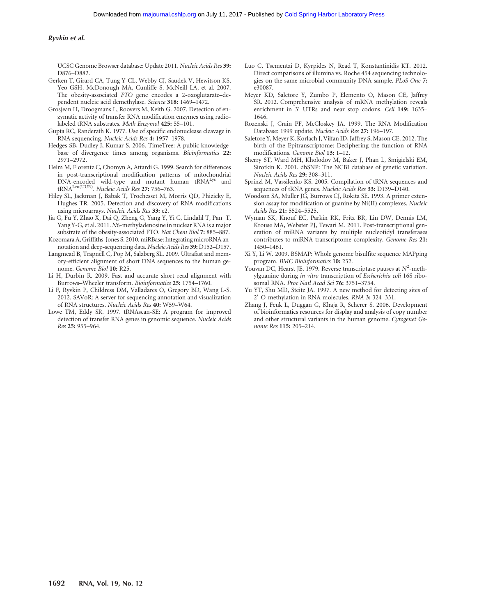UCSC Genome Browser database: Update 2011. Nucleic Acids Res 39: D876–D882.

- Gerken T, Girard CA, Tung Y-CL, Webby CJ, Saudek V, Hewitson KS, Yeo GSH, McDonough MA, Cunliffe S, McNeill LA, et al. 2007. The obesity-associated FTO gene encodes a 2-oxoglutarate–dependent nucleic acid demethylase. Science 318: 1469–1472.
- Grosjean H, Droogmans L, Roovers M, Keith G. 2007. Detection of enzymatic activity of transfer RNA modification enzymes using radiolabeled tRNA substrates. Meth Enzymol 425: 55–101.
- Gupta RC, Randerath K. 1977. Use of specific endonuclease cleavage in RNA sequencing. Nucleic Acids Res 4: 1957–1978.
- Hedges SB, Dudley J, Kumar S. 2006. TimeTree: A public knowledgebase of divergence times among organisms. Bioinformatics 22: 2971–2972.
- Helm M, Florentz C, Chomyn A, Attardi G. 1999. Search for differences in post-transcriptional modification patterns of mitochondrial DNA-encoded wild-type and mutant human tRNA<sup>Lys</sup> and tRNALeu(UUR). Nucleic Acids Res 27: 756–763.
- Hiley SL, Jackman J, Babak T, Trochesset M, Morris QD, Phizicky E, Hughes TR. 2005. Detection and discovery of RNA modifications using microarrays. Nucleic Acids Res 33: e2.
- Jia G, Fu Y, Zhao X, Dai Q, Zheng G, Yang Y, Yi C, Lindahl T, Pan T, Yang Y-G, et al. 2011. N6-methyladenosine in nuclear RNA is a major substrate of the obesity-associated FTO. Nat Chem Biol 7: 885–887.
- Kozomara A, Griffiths-Jones S. 2010. miRBase: Integrating microRNA annotation and deep-sequencing data. Nucleic Acids Res 39: D152–D157.
- Langmead B, Trapnell C, Pop M, Salzberg SL. 2009. Ultrafast and memory-efficient alignment of short DNA sequences to the human genome. Genome Biol 10: R25.
- Li H, Durbin R. 2009. Fast and accurate short read alignment with Burrows–Wheeler transform. Bioinformatics 25: 1754–1760.
- Li F, Ryvkin P, Childress DM, Valladares O, Gregory BD, Wang L-S. 2012. SAVoR: A server for sequencing annotation and visualization of RNA structures. Nucleic Acids Res 40: W59–W64.
- Lowe TM, Eddy SR. 1997. tRNAscan-SE: A program for improved detection of transfer RNA genes in genomic sequence. Nucleic Acids Res 25: 955–964.
- Luo C, Tsementzi D, Kyrpides N, Read T, Konstantinidis KT. 2012. Direct comparisons of illumina vs. Roche 454 sequencing technologies on the same microbial community DNA sample. PLoS One 7: e30087.
- Meyer KD, Saletore Y, Zumbo P, Elemento O, Mason CE, Jaffrey SR. 2012. Comprehensive analysis of mRNA methylation reveals enrichment in  $3'$  UTRs and near stop codons. Cell 149: 1635– 1646.
- Rozenski J, Crain PF, McCloskey JA. 1999. The RNA Modification Database: 1999 update. Nucleic Acids Res 27: 196–197.
- Saletore Y, Meyer K, Korlach J, Vilfan ID, Jaffrey S, Mason CE. 2012. The birth of the Epitranscriptome: Deciphering the function of RNA modifications. Genome Biol 13: 1-12.
- Sherry ST, Ward MH, Kholodov M, Baker J, Phan L, Smigielski EM, Sirotkin K. 2001. dbSNP: The NCBI database of genetic variation. Nucleic Acids Res 29: 308–311.
- Sprinzl M, Vassilenko KS. 2005. Compilation of tRNA sequences and sequences of tRNA genes. Nucleic Acids Res 33: D139–D140.
- Woodson SA, Muller JG, Burrows CJ, Rokita SE. 1993. A primer extension assay for modification of guanine by Ni(II) complexes. Nucleic Acids Res 21: 5524–5525.
- Wyman SK, Knouf EC, Parkin RK, Fritz BR, Lin DW, Dennis LM, Krouse MA, Webster PJ, Tewari M. 2011. Post-transcriptional generation of miRNA variants by multiple nucleotidyl transferases contributes to miRNA transcriptome complexity. Genome Res 21: 1450–1461.
- Xi Y, Li W. 2009. BSMAP: Whole genome bisulfite sequence MAPping program. BMC Bioinformatics 10: 232.
- Youvan DC, Hearst JE. 1979. Reverse transcriptase pauses at  $N^2$ -methylguanine during in vitro transcription of Escherichia coli 16S ribosomal RNA. Proc Natl Acad Sci 76: 3751-3754.
- Yu YT, Shu MD, Steitz JA. 1997. A new method for detecting sites of 2′ -O-methylation in RNA molecules. RNA 3: 324–331.
- Zhang J, Feuk L, Duggan G, Khaja R, Scherer S. 2006. Development of bioinformatics resources for display and analysis of copy number and other structural variants in the human genome. Cytogenet Genome Res 115: 205–214.